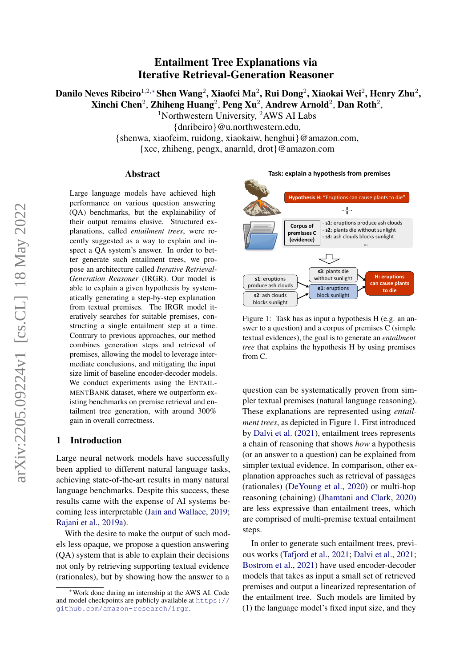# Entailment Tree Explanations via Iterative Retrieval-Generation Reasoner

Danilo Neves Ribeiro $^{1,2,*}$ Shen Wang $^2$ , Xiaofei Ma $^2$ , Rui Dong $^2$ , Xiaokai Wei $^2$ , Henry Zhu $^2$ , Xinchi Chen<sup>2</sup>, Zhiheng Huang<sup>2</sup>, Peng Xu<sup>2</sup>, Andrew Arnold<sup>2</sup>, Dan Roth<sup>2</sup>,

<sup>1</sup>Northwestern University, <sup>2</sup>AWS AI Labs

{dnribeiro}@u.northwestern.edu,

{shenwa, xiaofeim, ruidong, xiaokaiw, henghui}@amazon.com,

{xcc, zhiheng, pengx, anarnld, drot}@amazon.com

#### Abstract

Large language models have achieved high performance on various question answering (QA) benchmarks, but the explainability of their output remains elusive. Structured explanations, called *entailment trees*, were recently suggested as a way to explain and inspect a QA system's answer. In order to better generate such entailment trees, we propose an architecture called *Iterative Retrieval-Generation Reasoner* (IRGR). Our model is able to explain a given hypothesis by systematically generating a step-by-step explanation from textual premises. The IRGR model iteratively searches for suitable premises, constructing a single entailment step at a time. Contrary to previous approaches, our method combines generation steps and retrieval of premises, allowing the model to leverage intermediate conclusions, and mitigating the input size limit of baseline encoder-decoder models. We conduct experiments using the ENTAIL-MENTBANK dataset, where we outperform existing benchmarks on premise retrieval and entailment tree generation, with around 300% gain in overall correctness.

### 1 Introduction

Large neural network models have successfully been applied to different natural language tasks, achieving state-of-the-art results in many natural language benchmarks. Despite this success, these results came with the expense of AI systems becoming less interpretable [\(Jain and Wallace,](#page-8-0) [2019;](#page-8-0) [Rajani et al.,](#page-9-0) [2019a\)](#page-9-0).

With the desire to make the output of such models less opaque, we propose a question answering (QA) system that is able to explain their decisions not only by retrieving supporting textual evidence (rationales), but by showing how the answer to a

<span id="page-0-0"></span>

**Task: explain a hypothesis from premises**

Figure 1: Task has as input a hypothesis H (e.g. an answer to a question) and a corpus of premises C (simple textual evidences), the goal is to generate an *entailment tree* that explains the hypothesis H by using premises from C.

question can be systematically proven from simpler textual premises (natural language reasoning). These explanations are represented using *entailment trees*, as depicted in Figure [1.](#page-0-0) First introduced by [Dalvi et al.](#page-8-1) [\(2021\)](#page-8-1), entailment trees represents a chain of reasoning that shows *how* a hypothesis (or an answer to a question) can be explained from simpler textual evidence. In comparison, other explanation approaches such as retrieval of passages (rationales) [\(DeYoung et al.,](#page-8-2) [2020\)](#page-8-2) or multi-hop reasoning (chaining) [\(Jhamtani and Clark,](#page-9-1) [2020\)](#page-9-1) are less expressive than entailment trees, which are comprised of multi-premise textual entailment steps.

In order to generate such entailment trees, previous works [\(Tafjord et al.,](#page-9-2) [2021;](#page-9-2) [Dalvi et al.,](#page-8-1) [2021;](#page-8-1) [Bostrom et al.,](#page-8-3) [2021\)](#page-8-3) have used encoder-decoder models that takes as input a small set of retrieved premises and output a linearized representation of the entailment tree. Such models are limited by (1) the language model's fixed input size, and they

<sup>∗</sup>Work done during an internship at the AWS AI. Code and model checkpoints are publicly available at [https://](https://github. com/amazon-research/irgr) [github.com/amazon-research/irgr](https://github. com/amazon-research/irgr).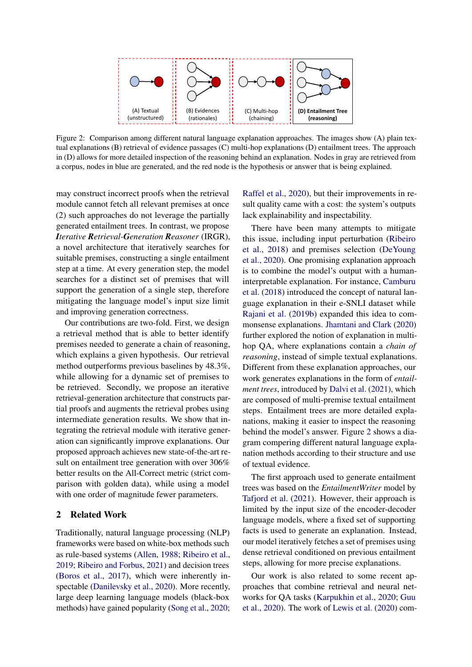<span id="page-1-0"></span>

Figure 2: Comparison among different natural language explanation approaches. The images show (A) plain textual explanations (B) retrieval of evidence passages (C) multi-hop explanations (D) entailment trees. The approach in (D) allows for more detailed inspection of the reasoning behind an explanation. Nodes in gray are retrieved from a corpus, nodes in blue are generated, and the red node is the hypothesis or answer that is being explained.

may construct incorrect proofs when the retrieval module cannot fetch all relevant premises at once (2) such approaches do not leverage the partially generated entailment trees. In contrast, we propose *Iterative Retrieval-Generation Reasoner* (IRGR), a novel architecture that iteratively searches for suitable premises, constructing a single entailment step at a time. At every generation step, the model searches for a distinct set of premises that will support the generation of a single step, therefore mitigating the language model's input size limit and improving generation correctness.

Our contributions are two-fold. First, we design a retrieval method that is able to better identify premises needed to generate a chain of reasoning, which explains a given hypothesis. Our retrieval method outperforms previous baselines by 48.3%, while allowing for a dynamic set of premises to be retrieved. Secondly, we propose an iterative retrieval-generation architecture that constructs partial proofs and augments the retrieval probes using intermediate generation results. We show that integrating the retrieval module with iterative generation can significantly improve explanations. Our proposed approach achieves new state-of-the-art result on entailment tree generation with over 306% better results on the All-Correct metric (strict comparison with golden data), while using a model with one order of magnitude fewer parameters.

## 2 Related Work

Traditionally, natural language processing (NLP) frameworks were based on white-box methods such as rule-based systems [\(Allen,](#page-8-4) [1988;](#page-8-4) [Ribeiro et al.,](#page-9-3) [2019;](#page-9-3) [Ribeiro and Forbus,](#page-9-4) [2021\)](#page-9-4) and decision trees [\(Boros et al.,](#page-8-5) [2017\)](#page-8-5), which were inherently inspectable [\(Danilevsky et al.,](#page-8-6) [2020\)](#page-8-6). More recently, large deep learning language models (black-box methods) have gained popularity [\(Song et al.,](#page-9-5) [2020;](#page-9-5) [Raffel et al.,](#page-9-6) [2020\)](#page-9-6), but their improvements in result quality came with a cost: the system's outputs lack explainability and inspectability.

There have been many attempts to mitigate this issue, including input perturbation [\(Ribeiro](#page-9-7) [et al.,](#page-9-7) [2018\)](#page-9-7) and premises selection [\(DeYoung](#page-8-2) [et al.,](#page-8-2) [2020\)](#page-8-2). One promising explanation approach is to combine the model's output with a humaninterpretable explanation. For instance, [Camburu](#page-8-7) [et al.](#page-8-7) [\(2018\)](#page-8-7) introduced the concept of natural language explanation in their e-SNLI dataset while [Rajani et al.](#page-9-8) [\(2019b\)](#page-9-8) expanded this idea to commonsense explanations. [Jhamtani and Clark](#page-9-1) [\(2020\)](#page-9-1) further explored the notion of explanation in multihop QA, where explanations contain a *chain of reasoning*, instead of simple textual explanations. Different from these explanation approaches, our work generates explanations in the form of *entailment trees*, introduced by [Dalvi et al.](#page-8-1) [\(2021\)](#page-8-1), which are composed of multi-premise textual entailment steps. Entailment trees are more detailed explanations, making it easier to inspect the reasoning behind the model's answer. Figure [2](#page-1-0) shows a diagram compering different natural language explanation methods according to their structure and use of textual evidence.

The first approach used to generate entailment trees was based on the *EntailmentWriter* model by [Tafjord et al.](#page-9-2) [\(2021\)](#page-9-2). However, their approach is limited by the input size of the encoder-decoder language models, where a fixed set of supporting facts is used to generate an explanation. Instead, our model iteratively fetches a set of premises using dense retrieval conditioned on previous entailment steps, allowing for more precise explanations.

Our work is also related to some recent approaches that combine retrieval and neural networks for QA tasks [\(Karpukhin et al.,](#page-9-9) [2020;](#page-9-9) [Guu](#page-8-8) [et al.,](#page-8-8) [2020\)](#page-8-8). The work of [Lewis et al.](#page-9-10) [\(2020\)](#page-9-10) com-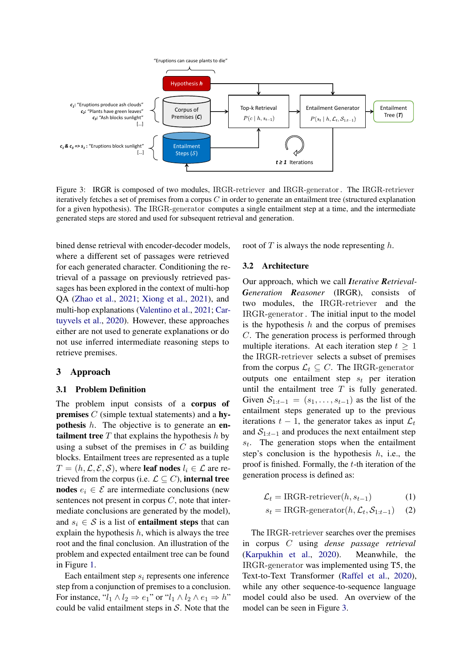<span id="page-2-0"></span>

Figure 3: IRGR is composed of two modules, IRGR-retriever and IRGR-generator. The IRGR-retriever iteratively fetches a set of premises from a corpus  $C$  in order to generate an entailment tree (structured explanation for a given hypothesis). The IRGR-generator computes a single entailment step at a time, and the intermediate generated steps are stored and used for subsequent retrieval and generation.

bined dense retrieval with encoder-decoder models, where a different set of passages were retrieved for each generated character. Conditioning the retrieval of a passage on previously retrieved passages has been explored in the context of multi-hop QA [\(Zhao et al.,](#page-10-0) [2021;](#page-10-0) [Xiong et al.,](#page-9-11) [2021\)](#page-9-11), and multi-hop explanations [\(Valentino et al.,](#page-9-12) [2021;](#page-9-12) [Car](#page-8-9)[tuyvels et al.,](#page-8-9) [2020\)](#page-8-9). However, these approaches either are not used to generate explanations or do not use inferred intermediate reasoning steps to retrieve premises.

### 3 Approach

### 3.1 Problem Definition

The problem input consists of a corpus of premises C (simple textual statements) and a hypothesis h. The objective is to generate an en**tailment tree**  $T$  that explains the hypothesis  $h$  by using a subset of the premises in  $C$  as building blocks. Entailment trees are represented as a tuple  $T = (h, \mathcal{L}, \mathcal{E}, \mathcal{S})$ , where leaf nodes  $l_i \in \mathcal{L}$  are retrieved from the corpus (i.e.  $\mathcal{L} \subseteq C$ ), internal tree nodes  $e_i \in \mathcal{E}$  are intermediate conclusions (new sentences not present in corpus  $C$ , note that intermediate conclusions are generated by the model), and  $s_i \in S$  is a list of **entailment steps** that can explain the hypothesis  $h$ , which is always the tree root and the final conclusion. An illustration of the problem and expected entailment tree can be found in Figure [1.](#page-0-0)

Each entailment step  $s_i$  represents one inference step from a conjunction of premises to a conclusion. For instance, " $l_1 \wedge l_2 \Rightarrow e_1$ " or " $l_1 \wedge l_2 \wedge e_1 \Rightarrow h$ " could be valid entailment steps in  $S$ . Note that the

root of  $T$  is always the node representing  $h$ .

#### 3.2 Architecture

Our approach, which we call *Iterative Retrieval-Generation Reasoner* (IRGR), consists of two modules, the IRGR-retriever and the IRGR-generator. The initial input to the model is the hypothesis  $h$  and the corpus of premises C. The generation process is performed through multiple iterations. At each iteration step  $t > 1$ the IRGR-retriever selects a subset of premises from the corpus  $\mathcal{L}_t \subseteq C$ . The IRGR-generator outputs one entailment step  $s_t$  per iteration until the entailment tree  $T$  is fully generated. Given  $S_{1:t-1} = (s_1, \ldots, s_{t-1})$  as the list of the entailment steps generated up to the previous iterations  $t - 1$ , the generator takes as input  $\mathcal{L}_t$ and  $S_{1:t-1}$  and produces the next entailment step  $s_t$ . The generation stops when the entailment step's conclusion is the hypothesis  $h$ , i.e., the proof is finished. Formally, the  $t$ -th iteration of the generation process is defined as:

$$
\mathcal{L}_t = \text{IRGR-retriever}(h, s_{t-1}) \tag{1}
$$

$$
s_t = \text{IRGR-generation}(h, \mathcal{L}_t, \mathcal{S}_{1:t-1}) \quad (2)
$$

The IRGR-retriever searches over the premises in corpus C using *dense passage retrieval* [\(Karpukhin et al.,](#page-9-9) [2020\)](#page-9-9). Meanwhile, the IRGR-generator was implemented using T5, the Text-to-Text Transformer [\(Raffel et al.,](#page-9-6) [2020\)](#page-9-6), while any other sequence-to-sequence language model could also be used. An overview of the model can be seen in Figure [3.](#page-2-0)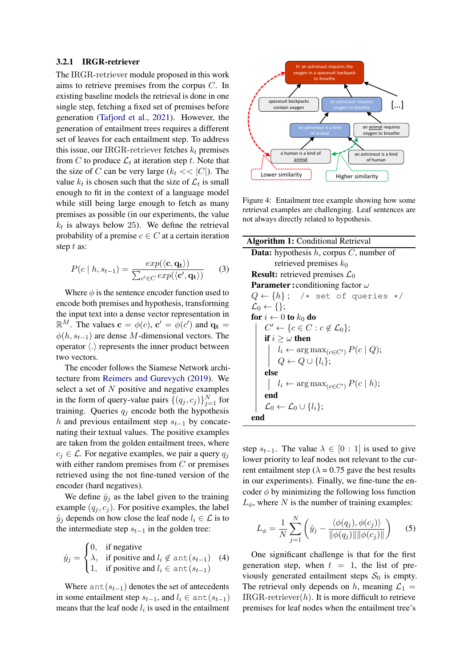#### 3.2.1 IRGR-retriever

The IRGR-retriever module proposed in this work aims to retrieve premises from the corpus C. In existing baseline models the retrieval is done in one single step, fetching a fixed set of premises before generation [\(Tafjord et al.,](#page-9-2) [2021\)](#page-9-2). However, the generation of entailment trees requires a different set of leaves for each entailment step. To address this issue, our IRGR-retriever fetches  $k_t$  premises from C to produce  $\mathcal{L}_t$  at iteration step t. Note that the size of C can be very large  $(k_t \ll |C|)$ . The value  $k_t$  is chosen such that the size of  $\mathcal{L}_t$  is small enough to fit in the context of a language model while still being large enough to fetch as many premises as possible (in our experiments, the value  $k_t$  is always below 25). We define the retrieval probability of a premise  $c \in C$  at a certain iteration step t as:

$$
P(c | h, s_{t-1}) = \frac{exp(\langle \mathbf{c}, \mathbf{q_t} \rangle)}{\sum_{c' \in C} exp(\langle \mathbf{c}', \mathbf{q_t} \rangle)}
$$
(3)

Where  $\phi$  is the sentence encoder function used to encode both premises and hypothesis, transforming the input text into a dense vector representation in  $\mathbb{R}^M$ . The values  $\mathbf{c} = \phi(c)$ ,  $\mathbf{c}' = \phi(c')$  and  $\mathbf{q_t} =$  $\phi(h, s_{t-1})$  are dense M-dimensional vectors. The operator  $\langle . \rangle$  represents the inner product between two vectors.

The encoder follows the Siamese Network architecture from [Reimers and Gurevych](#page-9-13) [\(2019\)](#page-9-13). We select a set of  $N$  positive and negative examples in the form of query-value pairs  $\{(q_j, c_j)\}_{j=1}^N$  for training. Queries  $q_i$  encode both the hypothesis h and previous entailment step  $s_{t-1}$  by concatenating their textual values. The positive examples are taken from the golden entailment trees, where  $c_j \in \mathcal{L}$ . For negative examples, we pair a query  $q_j$ with either random premises from  $C$  or premises retrieved using the not fine-tuned version of the encoder (hard negatives).

We define  $\hat{y}_i$  as the label given to the training example  $(q_i, c_j)$ . For positive examples, the label  $\hat{y}_i$  depends on how close the leaf node  $l_i \in \mathcal{L}$  is to the intermediate step  $s_{t-1}$  in the golden tree:

$$
\hat{y}_j = \begin{cases} 0, & \text{if negative} \\ \lambda, & \text{if positive and } l_i \notin \text{ant}(s_{t-1}) \\ 1, & \text{if positive and } l_i \in \text{ant}(s_{t-1}) \end{cases}
$$
 (4)

Where  $ant(s_{t-1})$  denotes the set of antecedents in some entailment step  $s_{t-1}$ , and  $l_i \in \text{ant}(s_{t-1})$ means that the leaf node  $l_i$  is used in the entailment

<span id="page-3-0"></span>

Figure 4: Entailment tree example showing how some retrieval examples are challenging. Leaf sentences are not always directly related to hypothesis.

 $\overline{a}$ 

<span id="page-3-1"></span>

| <b>Algorithm 1: Conditional Retrieval</b>              |
|--------------------------------------------------------|
| <b>Data:</b> hypothesis $h$ , corpus $C$ , number of   |
| retrieved premises $k_0$                               |
| <b>Result:</b> retrieved premises $\mathcal{L}_0$      |
| <b>Parameter:</b> conditioning factor $\omega$         |
| $Q \leftarrow \{h\}$ ; /* set of queries */            |
| $\mathcal{L}_0 \leftarrow \{\};$                       |
| for $i \leftarrow 0$ to $k_0$ do                       |
| $C' \leftarrow \{c \in C : c \notin \mathcal{L}_0\};$  |
| if $i \geq \omega$ then                                |
| $l_i \leftarrow \arg \max_{(c \in C')} P(c   Q);$      |
| $Q \leftarrow Q \cup \{l_i\};$                         |
| else                                                   |
| $l_i \leftarrow \arg \max_{(c \in C')} P(c \mid h);$   |
| end                                                    |
| $\mathcal{L}_0 \leftarrow \mathcal{L}_0 \cup \{l_i\};$ |
| end                                                    |

step  $s_{t-1}$ . The value  $\lambda \in [0:1]$  is used to give lower priority to leaf nodes not relevant to the current entailment step ( $\lambda = 0.75$  gave the best results in our experiments). Finally, we fine-tune the encoder  $\phi$  by minimizing the following loss function  $L_{\phi}$ , where N is the number of training examples:

$$
L_{\phi} = \frac{1}{N} \sum_{j=1}^{N} \left( \hat{y}_{j} - \frac{\langle \phi(q_{j}), \phi(c_{j}) \rangle}{\|\phi(q_{j})\| \|\phi(c_{j})\|} \right)
$$
 (5)

One significant challenge is that for the first generation step, when  $t = 1$ , the list of previously generated entailment steps  $S_0$  is empty. The retrieval only depends on h, meaning  $\mathcal{L}_1$  =  $IRGR-retriever(h)$ . It is more difficult to retrieve premises for leaf nodes when the entailment tree's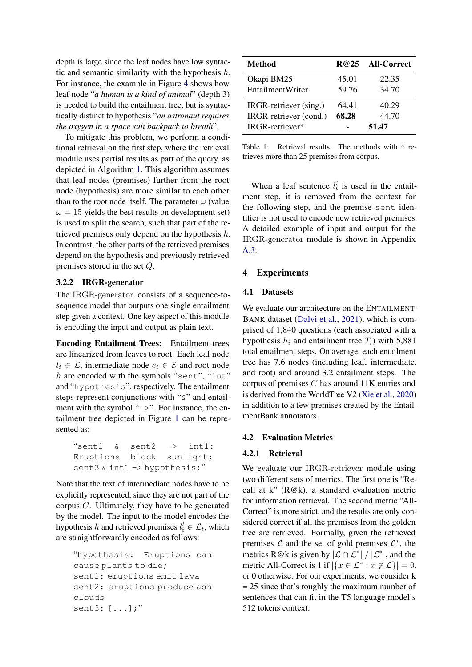depth is large since the leaf nodes have low syntactic and semantic similarity with the hypothesis  $h$ . For instance, the example in Figure [4](#page-3-0) shows how leaf node "*a human is a kind of animal*" (depth 3) is needed to build the entailment tree, but is syntactically distinct to hypothesis "*an astronaut requires the oxygen in a space suit backpack to breath*".

To mitigate this problem, we perform a conditional retrieval on the first step, where the retrieval module uses partial results as part of the query, as depicted in Algorithm [1.](#page-3-1) This algorithm assumes that leaf nodes (premises) further from the root node (hypothesis) are more similar to each other than to the root node itself. The parameter  $\omega$  (value  $\omega = 15$  yields the best results on development set) is used to split the search, such that part of the retrieved premises only depend on the hypothesis h. In contrast, the other parts of the retrieved premises depend on the hypothesis and previously retrieved premises stored in the set Q.

## 3.2.2 IRGR-generator

The IRGR-generator consists of a sequence-tosequence model that outputs one single entailment step given a context. One key aspect of this module is encoding the input and output as plain text.

Encoding Entailment Trees: Entailment trees are linearized from leaves to root. Each leaf node  $l_i \in \mathcal{L}$ , intermediate node  $e_i \in \mathcal{E}$  and root node h are encoded with the symbols "sent", "int" and "hypothesis", respectively. The entailment steps represent conjunctions with " $\&$ " and entailment with the symbol "->". For instance, the entailment tree depicted in Figure [1](#page-0-0) can be represented as:

```
"sent1 & sent2 -> int1:
Eruptions block sunlight;
sent3 & int1 -> hypothesis;"
```
Note that the text of intermediate nodes have to be explicitly represented, since they are not part of the corpus C. Ultimately, they have to be generated by the model. The input to the model encodes the hypothesis h and retrieved premises  $l_i^t \in \mathcal{L}_t$ , which are straightforwardly encoded as follows:

```
"hypothesis: Eruptions can
cause plants to die;
sent1: eruptions emit lava
sent2: eruptions produce ash
clouds
sent3: [...];"
```
<span id="page-4-0"></span>

| Method                                                              |                | R@25 All-Correct        |
|---------------------------------------------------------------------|----------------|-------------------------|
| Okapi BM25<br><b>EntailmentWriter</b>                               | 45.01<br>59.76 | 22.35<br>34.70          |
| IRGR-retriever (sing.)<br>IRGR-retriever (cond.)<br>IRGR-retriever* | 64.41<br>68.28 | 40.29<br>44.70<br>51.47 |

Table 1: Retrieval results. The methods with \* retrieves more than 25 premises from corpus.

When a leaf sentence  $l_t^i$  is used in the entailment step, it is removed from the context for the following step, and the premise sent identifier is not used to encode new retrieved premises. A detailed example of input and output for the IRGR-generator module is shown in Appendix [A.3.](#page-10-1)

## 4 Experiments

### 4.1 Datasets

We evaluate our architecture on the ENTAILMENT-BANK dataset [\(Dalvi et al.,](#page-8-1) [2021\)](#page-8-1), which is comprised of 1,840 questions (each associated with a hypothesis  $h_i$  and entailment tree  $T_i$ ) with 5,881 total entailment steps. On average, each entailment tree has 7.6 nodes (including leaf, intermediate, and root) and around 3.2 entailment steps. The corpus of premises C has around 11K entries and is derived from the WorldTree V2 [\(Xie et al.,](#page-9-14) [2020\)](#page-9-14) in addition to a few premises created by the EntailmentBank annotators.

## 4.2 Evaluation Metrics

#### 4.2.1 Retrieval

We evaluate our IRGR-retriever module using two different sets of metrics. The first one is "Recall at k" (R@k), a standard evaluation metric for information retrieval. The second metric "All-Correct" is more strict, and the results are only considered correct if all the premises from the golden tree are retrieved. Formally, given the retrieved premises  $\mathcal L$  and the set of gold premises  $\mathcal L^*$ , the metrics R@k is given by  $|\mathcal{L} \cap \mathcal{L}^*| / |\mathcal{L}^*|$ , and the metric All-Correct is 1 if  $|\{x \in \mathcal{L}^* : x \notin \mathcal{L}\}| = 0$ , or 0 otherwise. For our experiments, we consider k  $= 25$  since that's roughly the maximum number of sentences that can fit in the T5 language model's 512 tokens context.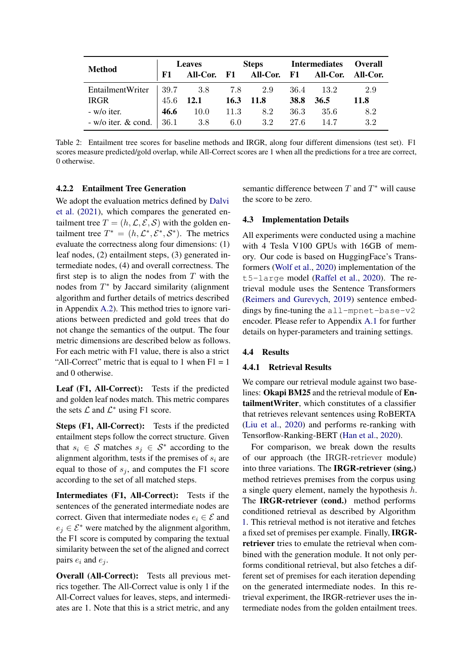<span id="page-5-0"></span>

|                         | <b>Leaves</b> |            | <b>Steps</b> |     |             | <b>Intermediates</b>                      | <b>Overall</b> |
|-------------------------|---------------|------------|--------------|-----|-------------|-------------------------------------------|----------------|
| <b>Method</b>           | F1            |            |              |     |             | All-Cor. F1 All-Cor. F1 All-Cor. All-Cor. |                |
| EntailmentWriter        |               | $39.7$ 3.8 | 7.8          | 2.9 | 36.4        | 13.2                                      | 2.9            |
| IRGR                    |               | 45.6 12.1  | $16.3$ 11.8  |     | <b>38.8</b> | 36.5                                      | <b>11.8</b>    |
| - w/o iter.             | 46.6          | 10.0       | 11.3         | 8.2 | 36.3        | 35.6                                      | 8.2            |
| $-w$ /o iter. $&$ cond. | 36.1          | 3.8        | 6.0          | 3.2 | 27.6        | 14.7                                      | 3.2            |

Table 2: Entailment tree scores for baseline methods and IRGR, along four different dimensions (test set). F1 scores measure predicted/gold overlap, while All-Correct scores are 1 when all the predictions for a tree are correct, 0 otherwise.

## 4.2.2 Entailment Tree Generation

We adopt the evaluation metrics defined by [Dalvi](#page-8-1) [et al.](#page-8-1) [\(2021\)](#page-8-1), which compares the generated entailment tree  $T = (h, \mathcal{L}, \mathcal{E}, \mathcal{S})$  with the golden entailment tree  $T^* = (h, \mathcal{L}^*, \mathcal{E}^*, \mathcal{S}^*)$ . The metrics evaluate the correctness along four dimensions: (1) leaf nodes, (2) entailment steps, (3) generated intermediate nodes, (4) and overall correctness. The first step is to align the nodes from  $T$  with the nodes from  $T^*$  by Jaccard similarity (alignment algorithm and further details of metrics described in Appendix [A.2\)](#page-10-2). This method tries to ignore variations between predicted and gold trees that do not change the semantics of the output. The four metric dimensions are described below as follows. For each metric with F1 value, there is also a strict "All-Correct" metric that is equal to 1 when  $F1 = 1$ and 0 otherwise.

Leaf (F1, All-Correct): Tests if the predicted and golden leaf nodes match. This metric compares the sets  $\mathcal L$  and  $\mathcal L^*$  using F1 score.

Steps (F1, All-Correct): Tests if the predicted entailment steps follow the correct structure. Given that  $s_i \in S$  matches  $s_j \in S^*$  according to the alignment algorithm, tests if the premises of  $s_i$  are equal to those of  $s_i$ , and computes the F1 score according to the set of all matched steps.

Intermediates (F1, All-Correct): Tests if the sentences of the generated intermediate nodes are correct. Given that intermediate nodes  $e_i \in \mathcal{E}$  and  $e_i \in \mathcal{E}^*$  were matched by the alignment algorithm, the F1 score is computed by comparing the textual similarity between the set of the aligned and correct pairs  $e_i$  and  $e_j$ .

Overall (All-Correct): Tests all previous metrics together. The All-Correct value is only 1 if the All-Correct values for leaves, steps, and intermediates are 1. Note that this is a strict metric, and any

semantic difference between  $T$  and  $T^*$  will cause the score to be zero.

### 4.3 Implementation Details

All experiments were conducted using a machine with 4 Tesla V100 GPUs with 16GB of memory. Our code is based on HuggingFace's Transformers [\(Wolf et al.,](#page-9-15) [2020\)](#page-9-15) implementation of the t5-large model [\(Raffel et al.,](#page-9-6) [2020\)](#page-9-6). The retrieval module uses the Sentence Transformers [\(Reimers and Gurevych,](#page-9-13) [2019\)](#page-9-13) sentence embeddings by fine-tuning the all-mpnet-base-v2 encoder. Please refer to Appendix [A.1](#page-10-3) for further details on hyper-parameters and training settings.

## 4.4 Results

#### 4.4.1 Retrieval Results

We compare our retrieval module against two baselines: Okapi BM25 and the retrieval module of EntailmentWriter, which constitutes of a classifier that retrieves relevant sentences using RoBERTA [\(Liu et al.,](#page-9-16) [2020\)](#page-9-16) and performs re-ranking with Tensorflow-Ranking-BERT [\(Han et al.,](#page-8-10) [2020\)](#page-8-10).

For comparison, we break down the results of our approach (the IRGR-retriever module) into three variations. The IRGR-retriever (sing.) method retrieves premises from the corpus using a single query element, namely the hypothesis  $h$ . The **IRGR-retriever** (cond.) method performs conditioned retrieval as described by Algorithm [1.](#page-3-1) This retrieval method is not iterative and fetches a fixed set of premises per example. Finally, IRGRretriever tries to emulate the retrieval when combined with the generation module. It not only performs conditional retrieval, but also fetches a different set of premises for each iteration depending on the generated intermediate nodes. In this retrieval experiment, the IRGR-retriever uses the intermediate nodes from the golden entailment trees.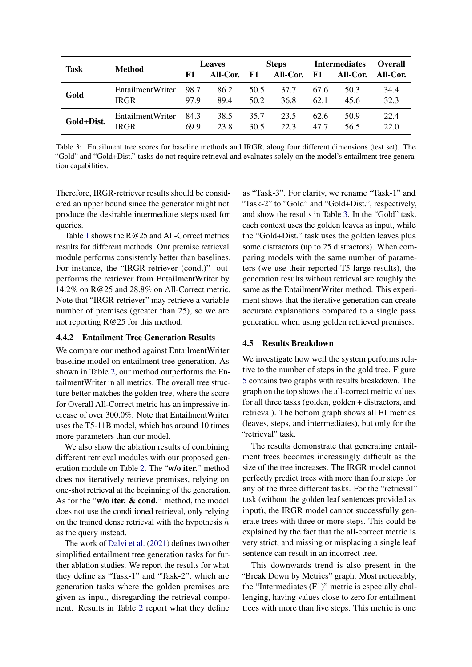<span id="page-6-0"></span>

| <b>Task</b> | <b>Method</b>                          | <b>Leaves</b> |              | <b>Steps</b> |              | <b>Intermediates</b> |                 | <b>Overall</b> |
|-------------|----------------------------------------|---------------|--------------|--------------|--------------|----------------------|-----------------|----------------|
|             |                                        | F1            | All-Cor. F1  |              | All-Cor. F1  |                      | <b>All-Cor.</b> | All-Cor.       |
| Gold        | EntailmentWriter   98.7<br><b>IRGR</b> | 97.9          | 86.2<br>89.4 | 50.5<br>50.2 | 37.7<br>36.8 | 67.6<br>62.1         | 50.3<br>45.6    | 34.4<br>32.3   |
| Gold+Dist.  | EntailmentWriter<br><b>IRGR</b>        | 84.3<br>69.9  | 38.5<br>23.8 | 35.7<br>30.5 | 23.5<br>22.3 | 62.6<br>47.7         | 50.9<br>56.5    | 22.4<br>22.0   |

Table 3: Entailment tree scores for baseline methods and IRGR, along four different dimensions (test set). The "Gold" and "Gold+Dist." tasks do not require retrieval and evaluates solely on the model's entailment tree generation capabilities.

Therefore, IRGR-retriever results should be considered an upper bound since the generator might not produce the desirable intermediate steps used for queries.

Table [1](#page-4-0) shows the R@25 and All-Correct metrics results for different methods. Our premise retrieval module performs consistently better than baselines. For instance, the "IRGR-retriever (cond.)" outperforms the retriever from EntailmentWriter by 14.2% on R@25 and 28.8% on All-Correct metric. Note that "IRGR-retriever" may retrieve a variable number of premises (greater than 25), so we are not reporting R@25 for this method.

### 4.4.2 Entailment Tree Generation Results

We compare our method against EntailmentWriter baseline model on entailment tree generation. As shown in Table [2,](#page-5-0) our method outperforms the EntailmentWriter in all metrics. The overall tree structure better matches the golden tree, where the score for Overall All-Correct metric has an impressive increase of over 300.0%. Note that EntailmentWriter uses the T5-11B model, which has around 10 times more parameters than our model.

We also show the ablation results of combining different retrieval modules with our proposed generation module on Table [2.](#page-5-0) The "w/o iter." method does not iteratively retrieve premises, relying on one-shot retrieval at the beginning of the generation. As for the "w/o iter. & cond." method, the model does not use the conditioned retrieval, only relying on the trained dense retrieval with the hypothesis  $h$ as the query instead.

The work of [Dalvi et al.](#page-8-1) [\(2021\)](#page-8-1) defines two other simplified entailment tree generation tasks for further ablation studies. We report the results for what they define as "Task-1" and "Task-2", which are generation tasks where the golden premises are given as input, disregarding the retrieval component. Results in Table [2](#page-5-0) report what they define

as "Task-3". For clarity, we rename "Task-1" and "Task-2" to "Gold" and "Gold+Dist.", respectively, and show the results in Table [3.](#page-6-0) In the "Gold" task, each context uses the golden leaves as input, while the "Gold+Dist." task uses the golden leaves plus some distractors (up to 25 distractors). When comparing models with the same number of parameters (we use their reported T5-large results), the generation results without retrieval are roughly the same as the EntailmentWriter method. This experiment shows that the iterative generation can create accurate explanations compared to a single pass generation when using golden retrieved premises.

### 4.5 Results Breakdown

We investigate how well the system performs relative to the number of steps in the gold tree. Figure [5](#page-7-0) contains two graphs with results breakdown. The graph on the top shows the all-correct metric values for all three tasks (golden, golden + distractors, and retrieval). The bottom graph shows all F1 metrics (leaves, steps, and intermediates), but only for the "retrieval" task.

The results demonstrate that generating entailment trees becomes increasingly difficult as the size of the tree increases. The IRGR model cannot perfectly predict trees with more than four steps for any of the three different tasks. For the "retrieval" task (without the golden leaf sentences provided as input), the IRGR model cannot successfully generate trees with three or more steps. This could be explained by the fact that the all-correct metric is very strict, and missing or misplacing a single leaf sentence can result in an incorrect tree.

This downwards trend is also present in the "Break Down by Metrics" graph. Most noticeably, the "Intermediates (F1)" metric is especially challenging, having values close to zero for entailment trees with more than five steps. This metric is one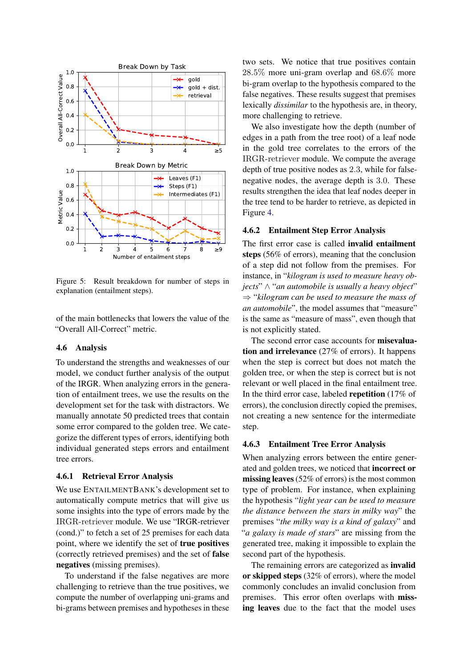<span id="page-7-0"></span>

Figure 5: Result breakdown for number of steps in explanation (entailment steps).

of the main bottlenecks that lowers the value of the "Overall All-Correct" metric.

#### 4.6 Analysis

To understand the strengths and weaknesses of our model, we conduct further analysis of the output of the IRGR. When analyzing errors in the generation of entailment trees, we use the results on the development set for the task with distractors. We manually annotate 50 predicted trees that contain some error compared to the golden tree. We categorize the different types of errors, identifying both individual generated steps errors and entailment tree errors.

## 4.6.1 Retrieval Error Analysis

We use ENTAILMENTBANK's development set to automatically compute metrics that will give us some insights into the type of errors made by the IRGR-retriever module. We use "IRGR-retriever (cond.)" to fetch a set of 25 premises for each data point, where we identify the set of true positives (correctly retrieved premises) and the set of false negatives (missing premises).

To understand if the false negatives are more challenging to retrieve than the true positives, we compute the number of overlapping uni-grams and bi-grams between premises and hypotheses in these two sets. We notice that true positives contain 28.5% more uni-gram overlap and 68.6% more bi-gram overlap to the hypothesis compared to the false negatives. These results suggest that premises lexically *dissimilar* to the hypothesis are, in theory, more challenging to retrieve.

We also investigate how the depth (number of edges in a path from the tree root) of a leaf node in the gold tree correlates to the errors of the IRGR-retriever module. We compute the average depth of true positive nodes as 2.3, while for falsenegative nodes, the average depth is 3.0. These results strengthen the idea that leaf nodes deeper in the tree tend to be harder to retrieve, as depicted in Figure [4.](#page-3-0)

### 4.6.2 Entailment Step Error Analysis

The first error case is called invalid entailment steps (56% of errors), meaning that the conclusion of a step did not follow from the premises. For instance, in "*kilogram is used to measure heavy objects*" ∧ "*an automobile is usually a heavy object*" ⇒ "*kilogram can be used to measure the mass of an automobile*", the model assumes that "measure" is the same as "measure of mass", even though that is not explicitly stated.

The second error case accounts for misevaluation and irrelevance (27% of errors). It happens when the step is correct but does not match the golden tree, or when the step is correct but is not relevant or well placed in the final entailment tree. In the third error case, labeled repetition (17% of errors), the conclusion directly copied the premises, not creating a new sentence for the intermediate step.

#### 4.6.3 Entailment Tree Error Analysis

When analyzing errors between the entire generated and golden trees, we noticed that incorrect or missing leaves (52% of errors) is the most common type of problem. For instance, when explaining the hypothesis "*light year can be used to measure the distance between the stars in milky way*" the premises "*the milky way is a kind of galaxy*" and "*a galaxy is made of stars*" are missing from the generated tree, making it impossible to explain the second part of the hypothesis.

The remaining errors are categorized as **invalid** or skipped steps (32% of errors), where the model commonly concludes an invalid conclusion from premises. This error often overlaps with missing leaves due to the fact that the model uses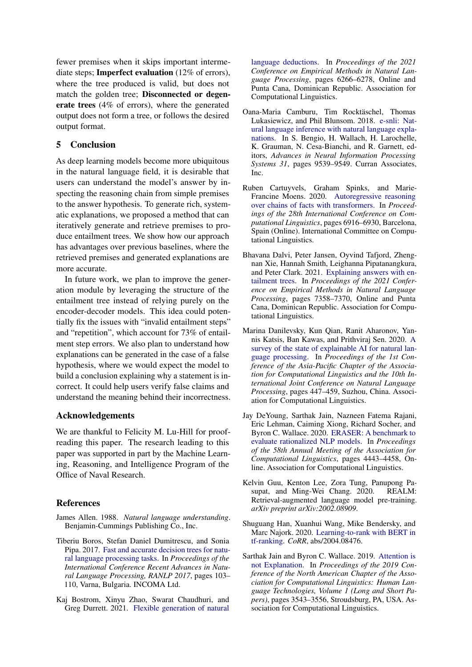fewer premises when it skips important intermediate steps; Imperfect evaluation (12% of errors), where the tree produced is valid, but does not match the golden tree; Disconnected or degenerate trees (4% of errors), where the generated output does not form a tree, or follows the desired output format.

## 5 Conclusion

As deep learning models become more ubiquitous in the natural language field, it is desirable that users can understand the model's answer by inspecting the reasoning chain from simple premises to the answer hypothesis. To generate rich, systematic explanations, we proposed a method that can iteratively generate and retrieve premises to produce entailment trees. We show how our approach has advantages over previous baselines, where the retrieved premises and generated explanations are more accurate.

In future work, we plan to improve the generation module by leveraging the structure of the entailment tree instead of relying purely on the encoder-decoder models. This idea could potentially fix the issues with "invalid entailment steps" and "repetition", which account for 73% of entailment step errors. We also plan to understand how explanations can be generated in the case of a false hypothesis, where we would expect the model to build a conclusion explaining why a statement is incorrect. It could help users verify false claims and understand the meaning behind their incorrectness.

## Acknowledgements

We are thankful to Felicity M. Lu-Hill for proofreading this paper. The research leading to this paper was supported in part by the Machine Learning, Reasoning, and Intelligence Program of the Office of Naval Research.

## **References**

- <span id="page-8-4"></span>James Allen. 1988. *Natural language understanding*. Benjamin-Cummings Publishing Co., Inc.
- <span id="page-8-5"></span>Tiberiu Boros, Stefan Daniel Dumitrescu, and Sonia Pipa. 2017. [Fast and accurate decision trees for natu](https://doi.org/10.26615/978-954-452-049-6_016)[ral language processing tasks.](https://doi.org/10.26615/978-954-452-049-6_016) In *Proceedings of the International Conference Recent Advances in Natural Language Processing, RANLP 2017*, pages 103– 110, Varna, Bulgaria. INCOMA Ltd.
- <span id="page-8-3"></span>Kaj Bostrom, Xinyu Zhao, Swarat Chaudhuri, and Greg Durrett. 2021. [Flexible generation of natural](https://doi.org/10.18653/v1/2021.emnlp-main.506)

[language deductions.](https://doi.org/10.18653/v1/2021.emnlp-main.506) In *Proceedings of the 2021 Conference on Empirical Methods in Natural Language Processing*, pages 6266–6278, Online and Punta Cana, Dominican Republic. Association for Computational Linguistics.

- <span id="page-8-7"></span>Oana-Maria Camburu, Tim Rocktäschel, Thomas Lukasiewicz, and Phil Blunsom. 2018. [e-snli: Nat](http://papers.nips.cc/paper/8163-e-snli-natural-language-inference-with-natural-language-explanations.pdf)[ural language inference with natural language expla](http://papers.nips.cc/paper/8163-e-snli-natural-language-inference-with-natural-language-explanations.pdf)[nations.](http://papers.nips.cc/paper/8163-e-snli-natural-language-inference-with-natural-language-explanations.pdf) In S. Bengio, H. Wallach, H. Larochelle, K. Grauman, N. Cesa-Bianchi, and R. Garnett, editors, *Advances in Neural Information Processing Systems 31*, pages 9539–9549. Curran Associates, Inc.
- <span id="page-8-9"></span>Ruben Cartuyvels, Graham Spinks, and Marie-Francine Moens. 2020. [Autoregressive reasoning](https://doi.org/10.18653/v1/2020.coling-main.610) [over chains of facts with transformers.](https://doi.org/10.18653/v1/2020.coling-main.610) In *Proceedings of the 28th International Conference on Computational Linguistics*, pages 6916–6930, Barcelona, Spain (Online). International Committee on Computational Linguistics.
- <span id="page-8-1"></span>Bhavana Dalvi, Peter Jansen, Oyvind Tafjord, Zhengnan Xie, Hannah Smith, Leighanna Pipatanangkura, and Peter Clark. 2021. [Explaining answers with en](https://doi.org/10.18653/v1/2021.emnlp-main.585)[tailment trees.](https://doi.org/10.18653/v1/2021.emnlp-main.585) In *Proceedings of the 2021 Conference on Empirical Methods in Natural Language Processing*, pages 7358–7370, Online and Punta Cana, Dominican Republic. Association for Computational Linguistics.
- <span id="page-8-6"></span>Marina Danilevsky, Kun Qian, Ranit Aharonov, Yannis Katsis, Ban Kawas, and Prithviraj Sen. 2020. [A](https://aclanthology.org/2020.aacl-main.46) [survey of the state of explainable AI for natural lan](https://aclanthology.org/2020.aacl-main.46)[guage processing.](https://aclanthology.org/2020.aacl-main.46) In *Proceedings of the 1st Conference of the Asia-Pacific Chapter of the Association for Computational Linguistics and the 10th International Joint Conference on Natural Language Processing*, pages 447–459, Suzhou, China. Association for Computational Linguistics.
- <span id="page-8-2"></span>Jay DeYoung, Sarthak Jain, Nazneen Fatema Rajani, Eric Lehman, Caiming Xiong, Richard Socher, and Byron C. Wallace. 2020. [ERASER: A benchmark to](https://doi.org/10.18653/v1/2020.acl-main.408) [evaluate rationalized NLP models.](https://doi.org/10.18653/v1/2020.acl-main.408) In *Proceedings of the 58th Annual Meeting of the Association for Computational Linguistics*, pages 4443–4458, Online. Association for Computational Linguistics.
- <span id="page-8-8"></span>Kelvin Guu, Kenton Lee, Zora Tung, Panupong Pasupat, and Ming-Wei Chang. 2020. REALM: Retrieval-augmented language model pre-training. *arXiv preprint arXiv:2002.08909*.
- <span id="page-8-10"></span>Shuguang Han, Xuanhui Wang, Mike Bendersky, and Marc Najork. 2020. [Learning-to-rank with BERT in](http://arxiv.org/abs/2004.08476) [tf-ranking.](http://arxiv.org/abs/2004.08476) *CoRR*, abs/2004.08476.
- <span id="page-8-0"></span>Sarthak Jain and Byron C. Wallace. 2019. [Attention is](https://doi.org/10.18653/v1/N19-1357) [not Explanation.](https://doi.org/10.18653/v1/N19-1357) In *Proceedings of the 2019 Conference of the North American Chapter of the Association for Computational Linguistics: Human Language Technologies, Volume 1 (Long and Short Papers)*, pages 3543–3556, Stroudsburg, PA, USA. Association for Computational Linguistics.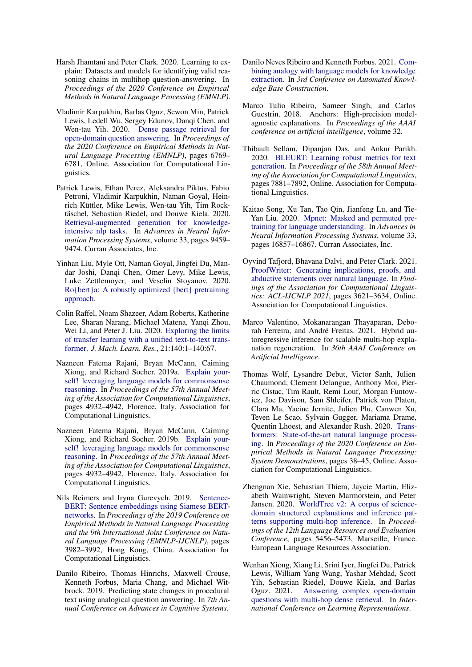- <span id="page-9-1"></span>Harsh Jhamtani and Peter Clark. 2020. Learning to explain: Datasets and models for identifying valid reasoning chains in multihop question-answering. In *Proceedings of the 2020 Conference on Empirical Methods in Natural Language Processing (EMNLP)*.
- <span id="page-9-9"></span>Vladimir Karpukhin, Barlas Oguz, Sewon Min, Patrick Lewis, Ledell Wu, Sergey Edunov, Danqi Chen, and Wen-tau Yih. 2020. [Dense passage retrieval for](https://doi.org/10.18653/v1/2020.emnlp-main.550) [open-domain question answering.](https://doi.org/10.18653/v1/2020.emnlp-main.550) In *Proceedings of the 2020 Conference on Empirical Methods in Natural Language Processing (EMNLP)*, pages 6769– 6781, Online. Association for Computational Linguistics.
- <span id="page-9-10"></span>Patrick Lewis, Ethan Perez, Aleksandra Piktus, Fabio Petroni, Vladimir Karpukhin, Naman Goyal, Heinrich Küttler, Mike Lewis, Wen-tau Yih, Tim Rocktäschel, Sebastian Riedel, and Douwe Kiela. 2020. [Retrieval-augmented generation for knowledge](https://proceedings.neurips.cc/paper/2020/file/6b493230205f780e1bc26945df7481e5-Paper.pdf)[intensive nlp tasks.](https://proceedings.neurips.cc/paper/2020/file/6b493230205f780e1bc26945df7481e5-Paper.pdf) In *Advances in Neural Information Processing Systems*, volume 33, pages 9459– 9474. Curran Associates, Inc.
- <span id="page-9-16"></span>Yinhan Liu, Myle Ott, Naman Goyal, Jingfei Du, Mandar Joshi, Danqi Chen, Omer Levy, Mike Lewis, Luke Zettlemoyer, and Veselin Stoyanov. 2020. [Ro{bert}a: A robustly optimized {bert} pretraining](https://openreview.net/forum?id=SyxS0T4tvS) [approach.](https://openreview.net/forum?id=SyxS0T4tvS)
- <span id="page-9-6"></span>Colin Raffel, Noam Shazeer, Adam Roberts, Katherine Lee, Sharan Narang, Michael Matena, Yanqi Zhou, Wei Li, and Peter J. Liu. 2020. [Exploring the limits](http://jmlr.org/papers/v21/20-074.html) [of transfer learning with a unified text-to-text trans](http://jmlr.org/papers/v21/20-074.html)[former.](http://jmlr.org/papers/v21/20-074.html) *J. Mach. Learn. Res.*, 21:140:1–140:67.
- <span id="page-9-0"></span>Nazneen Fatema Rajani, Bryan McCann, Caiming Xiong, and Richard Socher. 2019a. [Explain your](https://doi.org/10.18653/v1/P19-1487)[self! leveraging language models for commonsense](https://doi.org/10.18653/v1/P19-1487) [reasoning.](https://doi.org/10.18653/v1/P19-1487) In *Proceedings of the 57th Annual Meeting of the Association for Computational Linguistics*, pages 4932–4942, Florence, Italy. Association for Computational Linguistics.
- <span id="page-9-8"></span>Nazneen Fatema Rajani, Bryan McCann, Caiming Xiong, and Richard Socher. 2019b. [Explain your](https://doi.org/10.18653/v1/P19-1487)[self! leveraging language models for commonsense](https://doi.org/10.18653/v1/P19-1487) [reasoning.](https://doi.org/10.18653/v1/P19-1487) In *Proceedings of the 57th Annual Meeting of the Association for Computational Linguistics*, pages 4932–4942, Florence, Italy. Association for Computational Linguistics.
- <span id="page-9-13"></span>Nils Reimers and Iryna Gurevych. 2019. [Sentence-](https://doi.org/10.18653/v1/D19-1410)[BERT: Sentence embeddings using Siamese BERT](https://doi.org/10.18653/v1/D19-1410)[networks.](https://doi.org/10.18653/v1/D19-1410) In *Proceedings of the 2019 Conference on Empirical Methods in Natural Language Processing and the 9th International Joint Conference on Natural Language Processing (EMNLP-IJCNLP)*, pages 3982–3992, Hong Kong, China. Association for Computational Linguistics.
- <span id="page-9-3"></span>Danilo Ribeiro, Thomas Hinrichs, Maxwell Crouse, Kenneth Forbus, Maria Chang, and Michael Witbrock. 2019. Predicting state changes in procedural text using analogical question answering. In *7th Annual Conference on Advances in Cognitive Systems*.
- <span id="page-9-4"></span>Danilo Neves Ribeiro and Kenneth Forbus. 2021. [Com](https://openreview.net/forum?id=4TpJpZ-_gyl)[bining analogy with language models for knowledge](https://openreview.net/forum?id=4TpJpZ-_gyl) [extraction.](https://openreview.net/forum?id=4TpJpZ-_gyl) In *3rd Conference on Automated Knowledge Base Construction*.
- <span id="page-9-7"></span>Marco Tulio Ribeiro, Sameer Singh, and Carlos Guestrin. 2018. Anchors: High-precision modelagnostic explanations. In *Proceedings of the AAAI conference on artificial intelligence*, volume 32.
- <span id="page-9-17"></span>Thibault Sellam, Dipanjan Das, and Ankur Parikh. 2020. [BLEURT: Learning robust metrics for text](https://doi.org/10.18653/v1/2020.acl-main.704) [generation.](https://doi.org/10.18653/v1/2020.acl-main.704) In *Proceedings of the 58th Annual Meeting of the Association for Computational Linguistics*, pages 7881–7892, Online. Association for Computational Linguistics.
- <span id="page-9-5"></span>Kaitao Song, Xu Tan, Tao Qin, Jianfeng Lu, and Tie-Yan Liu. 2020. [Mpnet: Masked and permuted pre](https://proceedings.neurips.cc/paper/2020/file/c3a690be93aa602ee2dc0ccab5b7b67e-Paper.pdf)[training for language understanding.](https://proceedings.neurips.cc/paper/2020/file/c3a690be93aa602ee2dc0ccab5b7b67e-Paper.pdf) In *Advances in Neural Information Processing Systems*, volume 33, pages 16857–16867. Curran Associates, Inc.
- <span id="page-9-2"></span>Oyvind Tafjord, Bhavana Dalvi, and Peter Clark. 2021. [ProofWriter: Generating implications, proofs, and](https://doi.org/10.18653/v1/2021.findings-acl.317) [abductive statements over natural language.](https://doi.org/10.18653/v1/2021.findings-acl.317) In *Findings of the Association for Computational Linguistics: ACL-IJCNLP 2021*, pages 3621–3634, Online. Association for Computational Linguistics.
- <span id="page-9-12"></span>Marco Valentino, Mokanarangan Thayaparan, Deborah Ferreira, and André Freitas. 2021. Hybrid autoregressive inference for scalable multi-hop explanation regeneration. In *36th AAAI Conference on Artificial Intelligence*.
- <span id="page-9-15"></span>Thomas Wolf, Lysandre Debut, Victor Sanh, Julien Chaumond, Clement Delangue, Anthony Moi, Pierric Cistac, Tim Rault, Remi Louf, Morgan Funtowicz, Joe Davison, Sam Shleifer, Patrick von Platen, Clara Ma, Yacine Jernite, Julien Plu, Canwen Xu, Teven Le Scao, Sylvain Gugger, Mariama Drame, Quentin Lhoest, and Alexander Rush. 2020. [Trans](https://doi.org/10.18653/v1/2020.emnlp-demos.6)[formers: State-of-the-art natural language process](https://doi.org/10.18653/v1/2020.emnlp-demos.6)[ing.](https://doi.org/10.18653/v1/2020.emnlp-demos.6) In *Proceedings of the 2020 Conference on Empirical Methods in Natural Language Processing: System Demonstrations*, pages 38–45, Online. Association for Computational Linguistics.
- <span id="page-9-14"></span>Zhengnan Xie, Sebastian Thiem, Jaycie Martin, Elizabeth Wainwright, Steven Marmorstein, and Peter Jansen. 2020. [WorldTree v2: A corpus of science](https://aclanthology.org/2020.lrec-1.671)[domain structured explanations and inference pat](https://aclanthology.org/2020.lrec-1.671)[terns supporting multi-hop inference.](https://aclanthology.org/2020.lrec-1.671) In *Proceedings of the 12th Language Resources and Evaluation Conference*, pages 5456–5473, Marseille, France. European Language Resources Association.
- <span id="page-9-11"></span>Wenhan Xiong, Xiang Li, Srini Iyer, Jingfei Du, Patrick Lewis, William Yang Wang, Yashar Mehdad, Scott Yih, Sebastian Riedel, Douwe Kiela, and Barlas Oguz. 2021. [Answering complex open-domain](https://openreview.net/forum?id=EMHoBG0avc1) [questions with multi-hop dense retrieval.](https://openreview.net/forum?id=EMHoBG0avc1) In *International Conference on Learning Representations*.